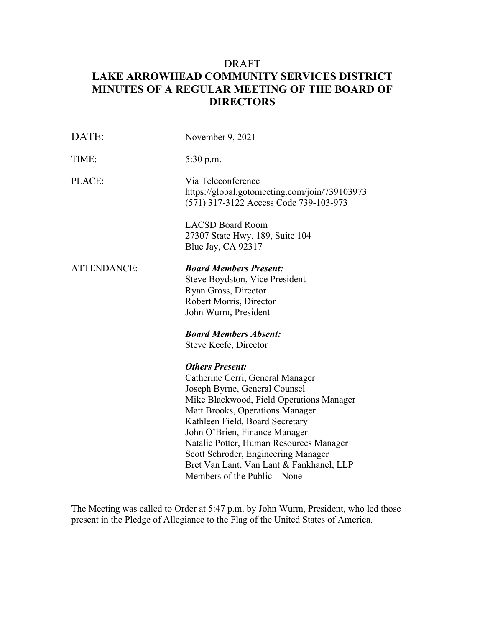# **MINUTES OF A REGULAR MEETING OF THE BOARD OF**  DRAFT **LAKE ARROWHEAD COMMUNITY SERVICES DISTRICT DIRECTORS**

| DATE:              | November 9, 2021                                                                                                                                                                                                                                                                                                                                                                                             |  |
|--------------------|--------------------------------------------------------------------------------------------------------------------------------------------------------------------------------------------------------------------------------------------------------------------------------------------------------------------------------------------------------------------------------------------------------------|--|
| TIME:              | 5:30 p.m.                                                                                                                                                                                                                                                                                                                                                                                                    |  |
| PLACE:             | Via Teleconference<br>https://global.gotomeeting.com/join/739103973<br>(571) 317-3122 Access Code 739-103-973                                                                                                                                                                                                                                                                                                |  |
|                    | <b>LACSD Board Room</b><br>27307 State Hwy. 189, Suite 104<br>Blue Jay, CA 92317                                                                                                                                                                                                                                                                                                                             |  |
| <b>ATTENDANCE:</b> | <b>Board Members Present:</b><br>Steve Boydston, Vice President<br>Ryan Gross, Director<br>Robert Morris, Director<br>John Wurm, President<br><b>Board Members Absent:</b><br>Steve Keefe, Director                                                                                                                                                                                                          |  |
|                    | <b>Others Present:</b><br>Catherine Cerri, General Manager<br>Joseph Byrne, General Counsel<br>Mike Blackwood, Field Operations Manager<br>Matt Brooks, Operations Manager<br>Kathleen Field, Board Secretary<br>John O'Brien, Finance Manager<br>Natalie Potter, Human Resources Manager<br>Scott Schroder, Engineering Manager<br>Bret Van Lant, Van Lant & Fankhanel, LLP<br>Members of the Public – None |  |

The Meeting was called to Order at 5:47 p.m. by John Wurm, President, who led those present in the Pledge of Allegiance to the Flag of the United States of America.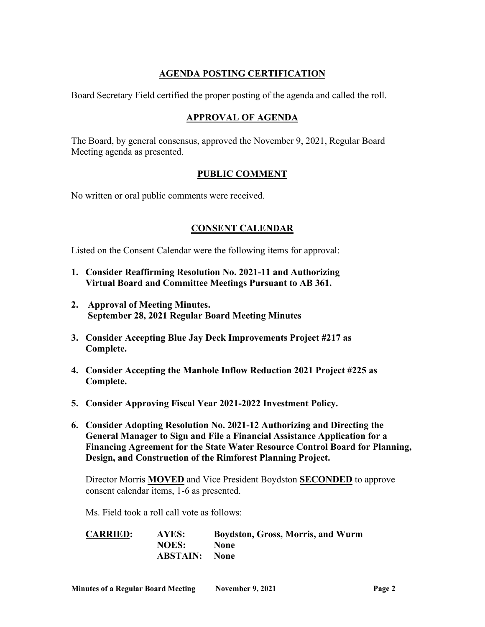# **AGENDA POSTING CERTIFICATION**

Board Secretary Field certified the proper posting of the agenda and called the roll.

### **APPROVAL OF AGENDA**

 The Board, by general consensus, approved the November 9, 2021, Regular Board Meeting agenda as presented.

### **PUBLIC COMMENT**

No written or oral public comments were received.

## **CONSENT CALENDAR**

Listed on the Consent Calendar were the following items for approval:

- **1. Consider Reaffirming Resolution No. 2021-11 and Authorizing Virtual Board and Committee Meetings Pursuant to AB 361.**
- **2. Approval of Meeting Minutes. September 28, 2021 Regular Board Meeting Minutes**
- **3. Consider Accepting Blue Jay Deck Improvements Project #217 as Complete.**
- **4. Consider Accepting the Manhole Inflow Reduction 2021 Project #225 as Complete.**
- **5. Consider Approving Fiscal Year 2021-2022 Investment Policy.**
- **6. Consider Adopting Resolution No. 2021-12 Authorizing and Directing the General Manager to Sign and File a Financial Assistance Application for a Financing Agreement for the State Water Resource Control Board for Planning, Design, and Construction of the Rimforest Planning Project.**

 Director Morris **MOVED** and Vice President Boydston **SECONDED** to approve consent calendar items, 1-6 as presented.

Ms. Field took a roll call vote as follows:

**CARRIED: AYES: Boydston, Gross, Morris, and Wurm NOES: None ABSTAIN: None**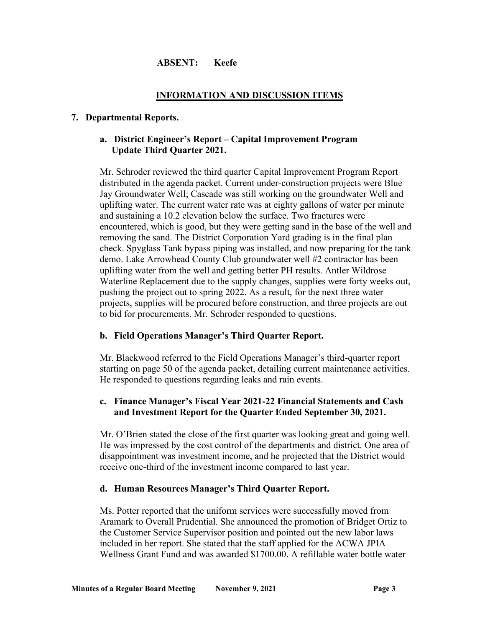### **ABSENT: Keefe**

#### **INFORMATION AND DISCUSSION ITEMS**

#### **7. Departmental Reports.**

### **a. District Engineer's Report – Capital Improvement Program Update Third Quarter 2021.**

 Mr. Schroder reviewed the third quarter Capital Improvement Program Report distributed in the agenda packet. Current under-construction projects were Blue uplifting water. The current water rate was at eighty gallons of water per minute removing the sand. The District Corporation Yard grading is in the final plan check. Spyglass Tank bypass piping was installed, and now preparing for the tank Jay Groundwater Well; Cascade was still working on the groundwater Well and and sustaining a 10.2 elevation below the surface. Two fractures were encountered, which is good, but they were getting sand in the base of the well and demo. Lake Arrowhead County Club groundwater well #2 contractor has been uplifting water from the well and getting better PH results. Antler Wildrose Waterline Replacement due to the supply changes, supplies were forty weeks out, pushing the project out to spring 2022. As a result, for the next three water projects, supplies will be procured before construction, and three projects are out to bid for procurements. Mr. Schroder responded to questions.

### **b. Field Operations Manager's Third Quarter Report.**

 He responded to questions regarding leaks and rain events. Mr. Blackwood referred to the Field Operations Manager's third-quarter report starting on page 50 of the agenda packet, detailing current maintenance activities.

### **c. Finance Manager's Fiscal Year 2021-22 Financial Statements and Cash and Investment Report for the Quarter Ended September 30, 2021.**

Mr. O'Brien stated the close of the first quarter was looking great and going well. He was impressed by the cost control of the departments and district. One area of disappointment was investment income, and he projected that the District would receive one-third of the investment income compared to last year.

#### **d. Human Resources Manager's Third Quarter Report.**

 the Customer Service Supervisor position and pointed out the new labor laws Wellness Grant Fund and was awarded \$1700.00. A refillable water bottle water Ms. Potter reported that the uniform services were successfully moved from Aramark to Overall Prudential. She announced the promotion of Bridget Ortiz to included in her report. She stated that the staff applied for the ACWA JPIA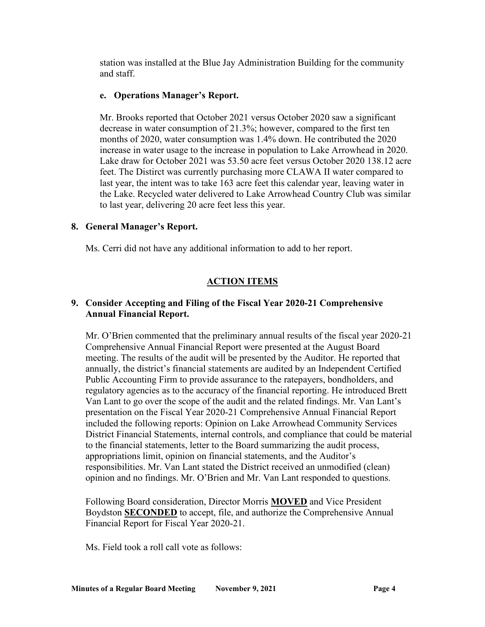and staff. station was installed at the Blue Jay Administration Building for the community

### **e. Operations Manager's Report.**

 feet. The Distirct was currently purchasing more CLAWA II water compared to last year, the intent was to take 163 acre feet this calendar year, leaving water in the Lake. Recycled water delivered to Lake Arrowhead Country Club was similar to last year, delivering 20 acre feet less this year. Mr. Brooks reported that October 2021 versus October 2020 saw a significant decrease in water consumption of 21.3%; however, compared to the first ten months of 2020, water consumption was 1.4% down. He contributed the 2020 increase in water usage to the increase in population to Lake Arrowhead in 2020. Lake draw for October 2021 was 53.50 acre feet versus October 2020 138.12 acre

### **8. General Manager's Report.**

Ms. Cerri did not have any additional information to add to her report.

## **ACTION ITEMS**

### **9. Consider Accepting and Filing of the Fiscal Year 2020-21 Comprehensive Annual Financial Report.**

 Mr. O'Brien commented that the preliminary annual results of the fiscal year 2020-21 Comprehensive Annual Financial Report were presented at the August Board annually, the district's financial statements are audited by an Independent Certified Public Accounting Firm to provide assurance to the ratepayers, bondholders, and Van Lant to go over the scope of the audit and the related findings. Mr. Van Lant's presentation on the Fiscal Year 2020-21 Comprehensive Annual Financial Report meeting. The results of the audit will be presented by the Auditor. He reported that regulatory agencies as to the accuracy of the financial reporting. He introduced Brett included the following reports: Opinion on Lake Arrowhead Community Services District Financial Statements, internal controls, and compliance that could be material to the financial statements, letter to the Board summarizing the audit process, appropriations limit, opinion on financial statements, and the Auditor's responsibilities. Mr. Van Lant stated the District received an unmodified (clean) opinion and no findings. Mr. O'Brien and Mr. Van Lant responded to questions.

 Following Board consideration, Director Morris **MOVED** and Vice President Boydston **SECONDED** to accept, file, and authorize the Comprehensive Annual

Financial Report for Fiscal Year 2020-21. Ms. Field took a roll call vote as follows: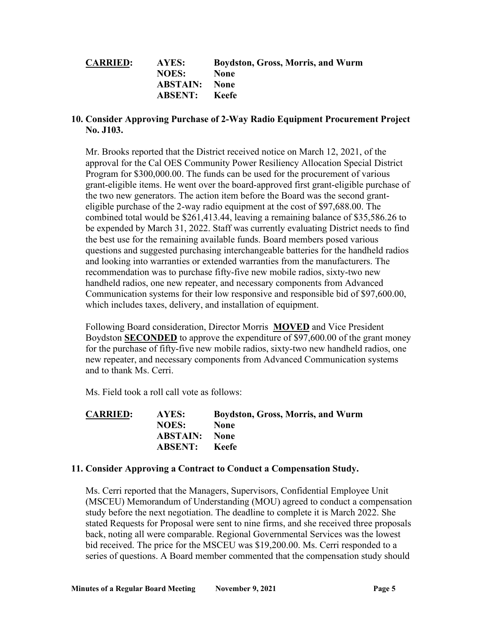| <b>CARRIED:</b> | AYES:                | <b>Boydston, Gross, Morris, and Wurm</b> |
|-----------------|----------------------|------------------------------------------|
|                 | <b>NOES:</b>         | <b>None</b>                              |
|                 | <b>ABSTAIN:</b> None |                                          |
|                 | <b>ABSENT:</b> Keefe |                                          |

#### **10. Consider Approving Purchase of 2-Way Radio Equipment Procurement Project No. J103.**

 Mr. Brooks reported that the District received notice on March 12, 2021, of the eligible purchase of the 2-way radio equipment at the cost of [\\$97,688.00](https://97,688.00). The combined total would be [\\$261,413.44](https://261,413.44), leaving a remaining balance of \$[35,586.26](https://35,586.26) to be expended by March 31, 2022. Staff was currently evaluating District needs to find which includes taxes, delivery, and installation of equipment. approval for the Cal OES Community Power Resiliency Allocation Special District Program for [\\$300,000.00](https://300,000.00). The funds can be used for the procurement of various grant-eligible items. He went over the board-approved first grant-eligible purchase of the two new generators. The action item before the Board was the second grantthe best use for the remaining available funds. Board members posed various questions and suggested purchasing interchangeable batteries for the handheld radios and looking into warranties or extended warranties from the manufacturers. The recommendation was to purchase fifty-five new mobile radios, sixty-two new handheld radios, one new repeater, and necessary components from Advanced Communication systems for their low responsive and responsible bid of \$[97,600.00,](https://97,600.00)

 Following Board consideration, Director Morris **MOVED** and Vice President Boydston **SECONDED** to approve the expenditure of \$[97,600.00](https://97,600.00) of the grant money for the purchase of fifty-five new mobile radios, sixty-two new handheld radios, one new repeater, and necessary components from Advanced Communication systems and to thank Ms. Cerri.

Ms. Field took a roll call vote as follows:

| <b>CARRIED:</b> | AYES:                | <b>Boydston, Gross, Morris, and Wurm</b> |
|-----------------|----------------------|------------------------------------------|
|                 | <b>NOES:</b>         | <b>None</b>                              |
|                 | <b>ABSTAIN:</b> None |                                          |
|                 | <b>ABSENT:</b>       | – Keefe                                  |

#### **11. Consider Approving a Contract to Conduct a Compensation Study.**

 stated Requests for Proposal were sent to nine firms, and she received three proposals Ms. Cerri reported that the Managers, Supervisors, Confidential Employee Unit (MSCEU) Memorandum of Understanding (MOU) agreed to conduct a compensation study before the next negotiation. The deadline to complete it is March 2022. She back, noting all were comparable. Regional Governmental Services was the lowest bid received. The price for the MSCEU was [\\$19,200.00](https://19,200.00). Ms. Cerri responded to a series of questions. A Board member commented that the compensation study should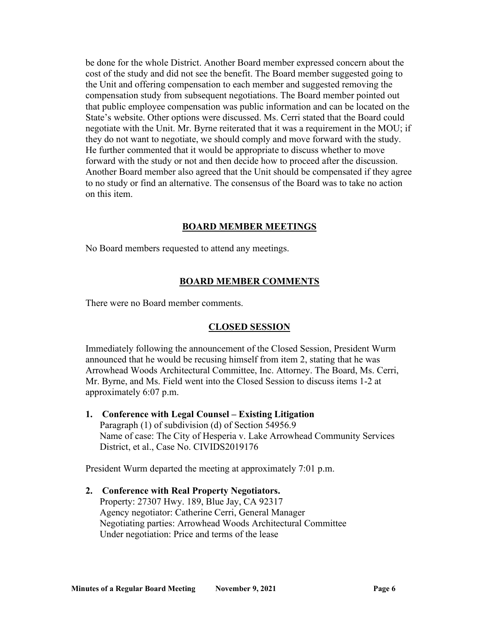cost of the study and did not see the benefit. The Board member suggested going to the Unit and offering compensation to each member and suggested removing the He further commented that it would be appropriate to discuss whether to move to no study or find an alternative. The consensus of the Board was to take no action be done for the whole District. Another Board member expressed concern about the compensation study from subsequent negotiations. The Board member pointed out that public employee compensation was public information and can be located on the State's website. Other options were discussed. Ms. Cerri stated that the Board could negotiate with the Unit. Mr. Byrne reiterated that it was a requirement in the MOU; if they do not want to negotiate, we should comply and move forward with the study. forward with the study or not and then decide how to proceed after the discussion. Another Board member also agreed that the Unit should be compensated if they agree on this item.

#### **BOARD MEMBER MEETINGS**

No Board members requested to attend any meetings.

#### **BOARD MEMBER COMMENTS**

There were no Board member comments.

#### **CLOSED SESSION**

 announced that he would be recusing himself from item 2, stating that he was Mr. Byrne, and Ms. Field went into the Closed Session to discuss items 1-2 at approximately 6:07 p.m. Immediately following the announcement of the Closed Session, President Wurm Arrowhead Woods Architectural Committee, Inc. Attorney. The Board, Ms. Cerri,

 **1. Conference with Legal Counsel – Existing Litigation**  Paragraph (1) of subdivision (d) of Section 54956.9 Name of case: The City of Hesperia v. Lake Arrowhead Community Services District, et al., Case No. CIVIDS2019176

President Wurm departed the meeting at approximately 7:01 p.m.

 Under negotiation: Price and terms of the lease **2. Conference with Real Property Negotiators.**  Property: 27307 Hwy. 189, Blue Jay, CA 92317 Agency negotiator: Catherine Cerri, General Manager Negotiating parties: Arrowhead Woods Architectural Committee